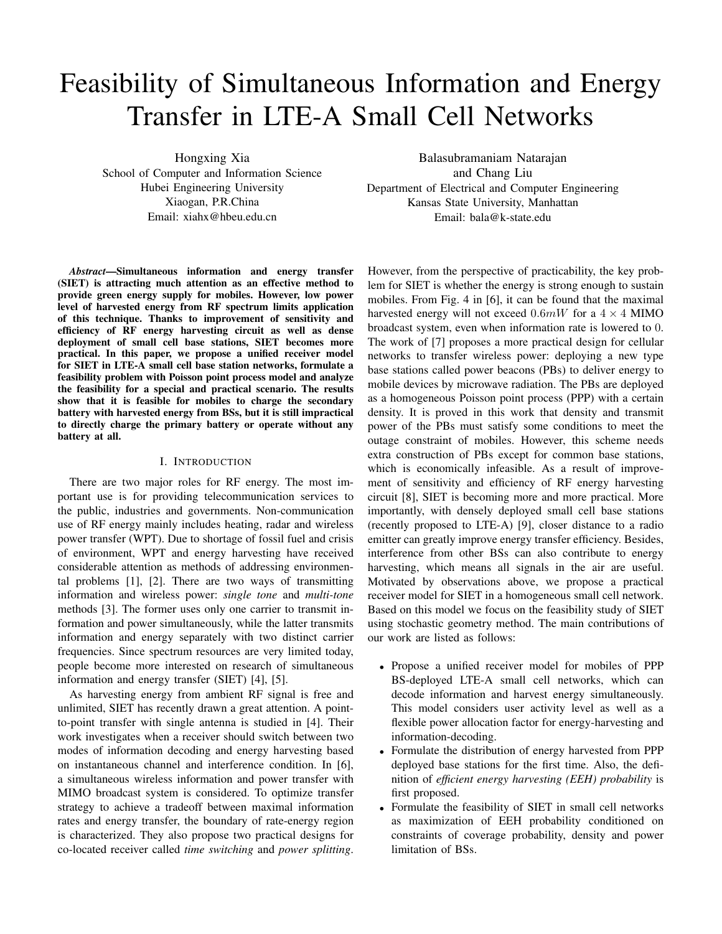# Feasibility of Simultaneous Information and Energy Transfer in LTE-A Small Cell Networks

Hongxing Xia School of Computer and Information Science Hubei Engineering University Xiaogan, P.R.China Email: xiahx@hbeu.edu.cn

*Abstract*—Simultaneous information and energy transfer (SIET) is attracting much attention as an effective method to provide green energy supply for mobiles. However, low power level of harvested energy from RF spectrum limits application of this technique. Thanks to improvement of sensitivity and efficiency of RF energy harvesting circuit as well as dense deployment of small cell base stations, SIET becomes more practical. In this paper, we propose a unified receiver model for SIET in LTE-A small cell base station networks, formulate a feasibility problem with Poisson point process model and analyze the feasibility for a special and practical scenario. The results show that it is feasible for mobiles to charge the secondary battery with harvested energy from BSs, but it is still impractical to directly charge the primary battery or operate without any battery at all.

### I. INTRODUCTION

There are two major roles for RF energy. The most important use is for providing telecommunication services to the public, industries and governments. Non-communication use of RF energy mainly includes heating, radar and wireless power transfer (WPT). Due to shortage of fossil fuel and crisis of environment, WPT and energy harvesting have received considerable attention as methods of addressing environmental problems [1], [2]. There are two ways of transmitting information and wireless power: *single tone* and *multi-tone* methods [3]. The former uses only one carrier to transmit information and power simultaneously, while the latter transmits information and energy separately with two distinct carrier frequencies. Since spectrum resources are very limited today, people become more interested on research of simultaneous information and energy transfer (SIET) [4], [5].

As harvesting energy from ambient RF signal is free and unlimited, SIET has recently drawn a great attention. A pointto-point transfer with single antenna is studied in [4]. Their work investigates when a receiver should switch between two modes of information decoding and energy harvesting based on instantaneous channel and interference condition. In [6], a simultaneous wireless information and power transfer with MIMO broadcast system is considered. To optimize transfer strategy to achieve a tradeoff between maximal information rates and energy transfer, the boundary of rate-energy region is characterized. They also propose two practical designs for co-located receiver called *time switching* and *power splitting*.

Balasubramaniam Natarajan and Chang Liu Department of Electrical and Computer Engineering Kansas State University, Manhattan Email: bala@k-state.edu

However, from the perspective of practicability, the key problem for SIET is whether the energy is strong enough to sustain mobiles. From Fig. 4 in [6], it can be found that the maximal harvested energy will not exceed  $0.6mW$  for a  $4 \times 4$  MIMO broadcast system, even when information rate is lowered to 0. The work of [7] proposes a more practical design for cellular networks to transfer wireless power: deploying a new type base stations called power beacons (PBs) to deliver energy to mobile devices by microwave radiation. The PBs are deployed as a homogeneous Poisson point process (PPP) with a certain density. It is proved in this work that density and transmit power of the PBs must satisfy some conditions to meet the outage constraint of mobiles. However, this scheme needs extra construction of PBs except for common base stations, which is economically infeasible. As a result of improvement of sensitivity and efficiency of RF energy harvesting circuit [8], SIET is becoming more and more practical. More importantly, with densely deployed small cell base stations (recently proposed to LTE-A) [9], closer distance to a radio emitter can greatly improve energy transfer efficiency. Besides, interference from other BSs can also contribute to energy harvesting, which means all signals in the air are useful. Motivated by observations above, we propose a practical receiver model for SIET in a homogeneous small cell network. Based on this model we focus on the feasibility study of SIET using stochastic geometry method. The main contributions of our work are listed as follows:

- Propose a unified receiver model for mobiles of PPP BS-deployed LTE-A small cell networks, which can decode information and harvest energy simultaneously. This model considers user activity level as well as a flexible power allocation factor for energy-harvesting and information-decoding.
- Formulate the distribution of energy harvested from PPP deployed base stations for the first time. Also, the definition of *efficient energy harvesting (EEH) probability* is first proposed.
- Formulate the feasibility of SIET in small cell networks as maximization of EEH probability conditioned on constraints of coverage probability, density and power limitation of BSs.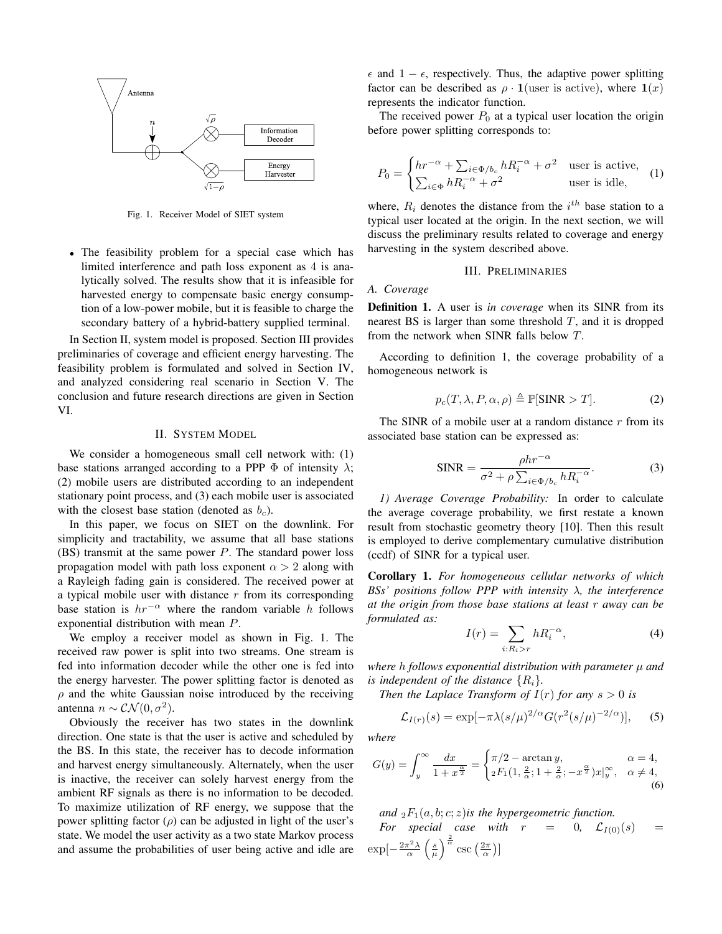

Fig. 1. Receiver Model of SIET system

• The feasibility problem for a special case which has limited interference and path loss exponent as 4 is analytically solved. The results show that it is infeasible for harvested energy to compensate basic energy consumption of a low-power mobile, but it is feasible to charge the secondary battery of a hybrid-battery supplied terminal.

In Section II, system model is proposed. Section III provides preliminaries of coverage and efficient energy harvesting. The feasibility problem is formulated and solved in Section IV, and analyzed considering real scenario in Section V. The conclusion and future research directions are given in Section VI.

#### II. SYSTEM MODEL

We consider a homogeneous small cell network with: (1) base stations arranged according to a PPP  $\Phi$  of intensity  $\lambda$ ; (2) mobile users are distributed according to an independent stationary point process, and (3) each mobile user is associated with the closest base station (denoted as  $b_c$ ).

In this paper, we focus on SIET on the downlink. For simplicity and tractability, we assume that all base stations  $(BS)$  transmit at the same power P. The standard power loss propagation model with path loss exponent  $\alpha > 2$  along with a Rayleigh fading gain is considered. The received power at a typical mobile user with distance  $r$  from its corresponding base station is  $hr^{-\alpha}$  where the random variable h follows exponential distribution with mean P.

We employ a receiver model as shown in Fig. 1. The received raw power is split into two streams. One stream is fed into information decoder while the other one is fed into the energy harvester. The power splitting factor is denoted as  $\rho$  and the white Gaussian noise introduced by the receiving antenna  $n \sim \mathcal{CN}(0, \sigma^2)$ .

Obviously the receiver has two states in the downlink direction. One state is that the user is active and scheduled by the BS. In this state, the receiver has to decode information and harvest energy simultaneously. Alternately, when the user is inactive, the receiver can solely harvest energy from the ambient RF signals as there is no information to be decoded. To maximize utilization of RF energy, we suppose that the power splitting factor  $(\rho)$  can be adjusted in light of the user's state. We model the user activity as a two state Markov process and assume the probabilities of user being active and idle are

 $\epsilon$  and  $1 - \epsilon$ , respectively. Thus, the adaptive power splitting factor can be described as  $\rho \cdot \mathbf{1}$  (user is active), where  $\mathbf{1}(x)$ represents the indicator function.

The received power  $P_0$  at a typical user location the origin before power splitting corresponds to:

$$
P_0 = \begin{cases} hr^{-\alpha} + \sum_{i \in \Phi/b_c} h R_i^{-\alpha} + \sigma^2 & \text{user is active,} \\ \sum_{i \in \Phi} h R_i^{-\alpha} + \sigma^2 & \text{user is idle,} \end{cases}
$$
 (1)

where,  $R_i$  denotes the distance from the  $i^{th}$  base station to a typical user located at the origin. In the next section, we will discuss the preliminary results related to coverage and energy harvesting in the system described above.

## III. PRELIMINARIES

## *A. Coverage*

Definition 1. A user is *in coverage* when its SINR from its nearest BS is larger than some threshold  $T$ , and it is dropped from the network when SINR falls below T.

According to definition 1, the coverage probability of a homogeneous network is

$$
p_c(T, \lambda, P, \alpha, \rho) \triangleq \mathbb{P}[\text{SINR} > T]. \tag{2}
$$

The SINR of a mobile user at a random distance  $r$  from its associated base station can be expressed as:

$$
SINR = \frac{\rho hr^{-\alpha}}{\sigma^2 + \rho \sum_{i \in \Phi/b_c} hR_i^{-\alpha}}.
$$
 (3)

*1) Average Coverage Probability:* In order to calculate the average coverage probability, we first restate a known result from stochastic geometry theory [10]. Then this result is employed to derive complementary cumulative distribution (ccdf) of SINR for a typical user.

Corollary 1. *For homogeneous cellular networks of which BSs' positions follow PPP with intensity* λ*, the interference at the origin from those base stations at least* r *away can be formulated as:*

$$
I(r) = \sum_{i: R_i > r} h R_i^{-\alpha},\tag{4}
$$

*where* h *follows exponential distribution with parameter* µ *and is independent of the distance*  $\{R_i\}$ *.* 

*Then the Laplace Transform of*  $I(r)$  *for any*  $s > 0$  *is* 

$$
\mathcal{L}_{I(r)}(s) = \exp[-\pi \lambda (s/\mu)^{2/\alpha} G(r^2 (s/\mu)^{-2/\alpha})], \quad (5)
$$

*where*

$$
G(y) = \int_{y}^{\infty} \frac{dx}{1 + x^{\frac{\alpha}{2}}} = \begin{cases} \pi/2 - \arctan y, & \alpha = 4, \\ {}_{2}F_{1}(1, \frac{2}{\alpha}; 1 + \frac{2}{\alpha}; -x^{\frac{\alpha}{2}})x|_{y}^{\infty}, & \alpha \neq 4, \\ 6 \end{cases}
$$

*and*  $_2F_1(a, b; c; z)$ *is the hypergeometric function.* 

For special case with 
$$
r = 0
$$
,  $\mathcal{L}_{I(0)}(s) = \exp[-\frac{2\pi^2 \lambda}{\alpha} \left(\frac{s}{\mu}\right)^{\frac{2}{\alpha}} \csc\left(\frac{2\pi}{\alpha}\right)]$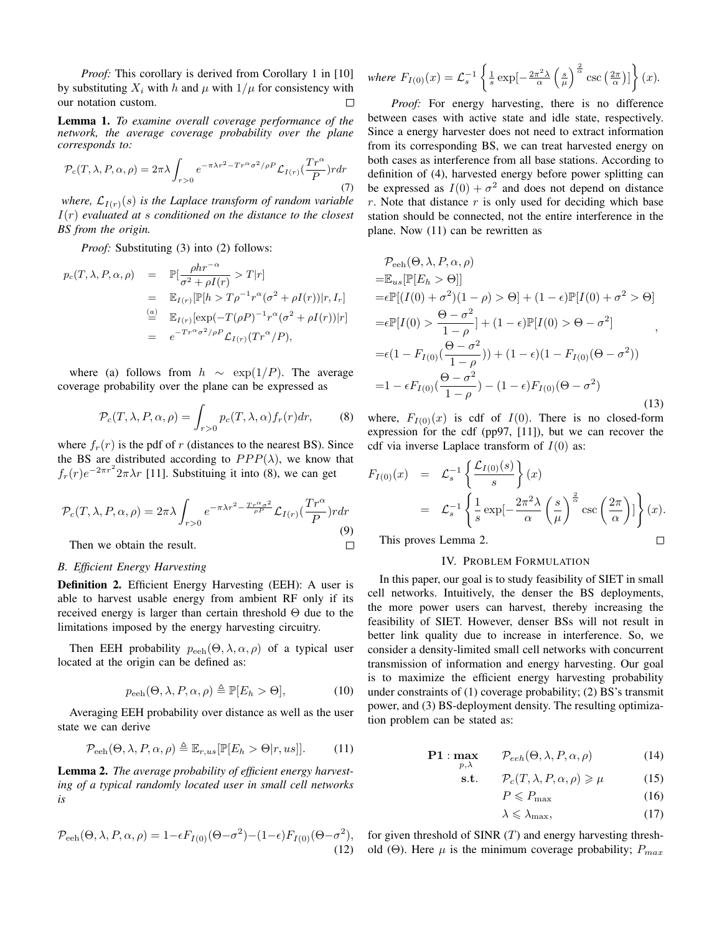*Proof:* This corollary is derived from Corollary 1 in [10] by substituting  $X_i$  with h and  $\mu$  with  $1/\mu$  for consistency with our notation custom.  $\Box$ 

Lemma 1. *To examine overall coverage performance of the network, the average coverage probability over the plane corresponds to:*

$$
\mathcal{P}_c(T,\lambda,P,\alpha,\rho) = 2\pi\lambda \int_{r>0} e^{-\pi\lambda r^2 - Tr^{\alpha}\sigma^2/\rho P} \mathcal{L}_{I(r)}(\frac{Tr^{\alpha}}{P}) r dr
$$
\n(7)

*where,*  $\mathcal{L}_{I(r)}(s)$  *is the Laplace transform of random variable* I(r) *evaluated at* s *conditioned on the distance to the closest BS from the origin.*

*Proof:* Substituting (3) into (2) follows:

$$
p_c(T, \lambda, P, \alpha, \rho) = \mathbb{P}[\frac{\rho h r^{-\alpha}}{\sigma^2 + \rho I(r)} > T|r]
$$
  
\n
$$
= \mathbb{E}_{I(r)}[\mathbb{P}[h > T\rho^{-1}r^{\alpha}(\sigma^2 + \rho I(r))|r, I_r]
$$
  
\n
$$
\stackrel{(a)}{=} \mathbb{E}_{I(r)}[\exp(-T(\rho P)^{-1}r^{\alpha}(\sigma^2 + \rho I(r))|r]
$$
  
\n
$$
= e^{-T r^{\alpha} \sigma^2/\rho P} \mathcal{L}_{I(r)}(Tr^{\alpha}/P),
$$

where (a) follows from  $h \sim \exp(1/P)$ . The average coverage probability over the plane can be expressed as

$$
\mathcal{P}_c(T,\lambda,P,\alpha,\rho) = \int_{r>0} p_c(T,\lambda,\alpha) f_r(r) dr,\tag{8}
$$

where  $f_r(r)$  is the pdf of r (distances to the nearest BS). Since the BS are distributed according to  $PPP(\lambda)$ , we know that  $f_r(r)e^{-2\pi r^2}2\pi\lambda r$  [11]. Substituing it into (8), we can get

$$
\mathcal{P}_c(T,\lambda,P,\alpha,\rho) = 2\pi\lambda \int_{r>0} e^{-\pi\lambda r^2 - \frac{T r^{\alpha}\sigma^2}{\rho P}} \mathcal{L}_{I(r)}(\frac{T r^{\alpha}}{P}) r dr
$$
\nThen we obtain the result.

\n
$$
\Box
$$

Then we obtain the result.

## *B. Efficient Energy Harvesting*

Definition 2. Efficient Energy Harvesting (EEH): A user is able to harvest usable energy from ambient RF only if its received energy is larger than certain threshold  $\Theta$  due to the limitations imposed by the energy harvesting circuitry.

Then EEH probability  $p_{\text{eeh}}(\Theta, \lambda, \alpha, \rho)$  of a typical user located at the origin can be defined as:

$$
p_{\text{eeh}}(\Theta, \lambda, P, \alpha, \rho) \triangleq \mathbb{P}[E_h > \Theta], \tag{10}
$$

Averaging EEH probability over distance as well as the user state we can derive

$$
\mathcal{P}_{\text{eeh}}(\Theta, \lambda, P, \alpha, \rho) \triangleq \mathbb{E}_{r,us}[\mathbb{P}[E_h > \Theta | r, us]]. \tag{11}
$$

Lemma 2. *The average probability of efficient energy harvesting of a typical randomly located user in small cell networks is*

$$
\mathcal{P}_{\text{eeh}}(\Theta, \lambda, P, \alpha, \rho) = 1 - \epsilon F_{I(0)}(\Theta - \sigma^2) - (1 - \epsilon) F_{I(0)}(\Theta - \sigma^2),
$$
\n(12)

where 
$$
F_{I(0)}(x) = \mathcal{L}_s^{-1} \left\{ \frac{1}{s} \exp\left[-\frac{2\pi^2 \lambda}{\alpha} \left(\frac{s}{\mu}\right)^{\frac{2}{\alpha}} \csc\left(\frac{2\pi}{\alpha}\right)\right] \right\}(x).
$$

*Proof:* For energy harvesting, there is no difference between cases with active state and idle state, respectively. Since a energy harvester does not need to extract information from its corresponding BS, we can treat harvested energy on both cases as interference from all base stations. According to definition of (4), harvested energy before power splitting can be expressed as  $I(0) + \sigma^2$  and does not depend on distance  $r$ . Note that distance  $r$  is only used for deciding which base station should be connected, not the entire interference in the plane. Now (11) can be rewritten as

$$
\mathcal{P}_{\text{eeh}}(\Theta, \lambda, P, \alpha, \rho)
$$
  
=\mathbb{E}\_{us}[\mathbb{P}[E\_h > \Theta]]  
=\epsilon \mathbb{P}[(I(0) + \sigma^2)(1 - \rho) > \Theta] + (1 - \epsilon)\mathbb{P}[I(0) + \sigma^2 > \Theta]  
=\epsilon \mathbb{P}[I(0) > \frac{\Theta - \sigma^2}{1 - \rho}] + (1 - \epsilon)\mathbb{P}[I(0) > \Theta - \sigma^2]   
=\epsilon (1 - F\_{I(0)}(\frac{\Theta - \sigma^2}{1 - \rho})) + (1 - \epsilon)(1 - F\_{I(0)}(\Theta - \sigma^2))  
=1 - \epsilon F\_{I(0)}(\frac{\Theta - \sigma^2}{1 - \rho}) - (1 - \epsilon)F\_{I(0)}(\Theta - \sigma^2)(13)

where,  $F_{I(0)}(x)$  is cdf of  $I(0)$ . There is no closed-form expression for the cdf (pp97, [11]), but we can recover the cdf via inverse Laplace transform of  $I(0)$  as:

$$
F_{I(0)}(x) = \mathcal{L}_s^{-1} \left\{ \frac{\mathcal{L}_{I(0)}(s)}{s} \right\}(x)
$$
  
=  $\mathcal{L}_s^{-1} \left\{ \frac{1}{s} \exp\left[-\frac{2\pi^2 \lambda}{\alpha} \left(\frac{s}{\mu}\right)^{\frac{2}{\alpha}} \csc\left(\frac{2\pi}{\alpha}\right) \right] \right\}(x).$   
This proves Lemma 2.

This proves Lemma 2.

## IV. PROBLEM FORMULATION

In this paper, our goal is to study feasibility of SIET in small cell networks. Intuitively, the denser the BS deployments, the more power users can harvest, thereby increasing the feasibility of SIET. However, denser BSs will not result in better link quality due to increase in interference. So, we consider a density-limited small cell networks with concurrent transmission of information and energy harvesting. Our goal is to maximize the efficient energy harvesting probability under constraints of (1) coverage probability; (2) BS's transmit power, and (3) BS-deployment density. The resulting optimization problem can be stated as:

$$
\mathbf{P1} : \max_{p,\lambda} \qquad \mathcal{P}_{eeh}(\Theta,\lambda,P,\alpha,\rho) \tag{14}
$$

$$
\text{s.t.} \qquad \mathcal{P}_c(T, \lambda, P, \alpha, \rho) \geq \mu \tag{15}
$$

$$
P \leqslant P_{\text{max}} \tag{16}
$$

$$
\lambda \leqslant \lambda_{\max},\tag{17}
$$

for given threshold of SINR  $(T)$  and energy harvesting threshold (Θ). Here  $\mu$  is the minimum coverage probability;  $P_{max}$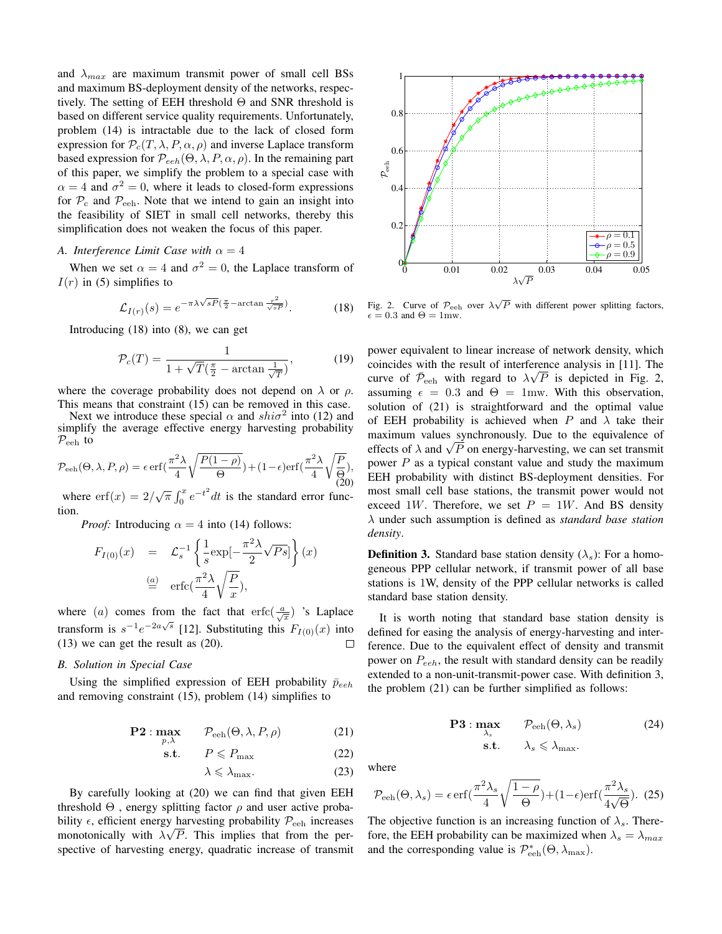and  $\lambda_{max}$  are maximum transmit power of small cell BSs and maximum BS-deployment density of the networks, respectively. The setting of EEH threshold  $\Theta$  and SNR threshold is based on different service quality requirements. Unfortunately, problem (14) is intractable due to the lack of closed form expression for  $\mathcal{P}_c(T, \lambda, P, \alpha, \rho)$  and inverse Laplace transform based expression for  $\mathcal{P}_{eeh}(\Theta, \lambda, P, \alpha, \rho)$ . In the remaining part of this paper, we simplify the problem to a special case with  $\alpha = 4$  and  $\sigma^2 = 0$ , where it leads to closed-form expressions for  $P_c$  and  $P_{\text{eeh}}$ . Note that we intend to gain an insight into the feasibility of SIET in small cell networks, thereby this simplification does not weaken the focus of this paper.

## *A. Interference Limit Case with*  $\alpha = 4$

When we set  $\alpha = 4$  and  $\sigma^2 = 0$ , the Laplace transform of  $I(r)$  in (5) simplifies to

$$
\mathcal{L}_{I(r)}(s) = e^{-\pi\lambda\sqrt{sP}(\frac{\pi}{2} - \arctan\frac{r^2}{\sqrt{sP}})}.
$$
 (18)

Introducing (18) into (8), we can get

$$
\mathcal{P}_c(T) = \frac{1}{1 + \sqrt{T}(\frac{\pi}{2} - \arctan\frac{1}{\sqrt{T}})},\tag{19}
$$

where the coverage probability does not depend on  $\lambda$  or  $\rho$ . This means that constraint (15) can be removed in this case.

Next we introduce these special  $\alpha$  and  $shi\sigma^2$  into (12) and simplify the average effective energy harvesting probability  $P_{\text{eeh}}$  to

$$
\mathcal{P}_{\text{eeh}}(\Theta, \lambda, P, \rho) = \epsilon \operatorname{erf}\left(\frac{\pi^2 \lambda}{4} \sqrt{\frac{P(1-\rho)}{\Theta}}\right) + (1-\epsilon) \operatorname{erf}\left(\frac{\pi^2 \lambda}{4} \sqrt{\frac{P}{\Theta}}\right),\tag{20}
$$

where  $\operatorname{erf}(x) = 2/\sqrt{\pi} \int_0^x e^{-t^2} dt$  is the standard error function.

*Proof:* Introducing  $\alpha = 4$  into (14) follows:

$$
F_{I(0)}(x) = \mathcal{L}_s^{-1} \left\{ \frac{1}{s} \exp\left[-\frac{\pi^2 \lambda}{2} \sqrt{Ps}\right] \right\}(x)
$$
  

$$
\stackrel{(a)}{=} \text{erfc}\left(\frac{\pi^2 \lambda}{4} \sqrt{\frac{P}{x}}\right),
$$

where (a) comes from the fact that erfc( $\frac{a}{\sqrt{x}}$ ) 's Laplace transform is  $s^{-1}e^{-2a\sqrt{s}}$  [12]. Substituting this  $F_{I(0)}(x)$  into (13) we can get the result as (20).  $\Box$ 

#### *B. Solution in Special Case*

Using the simplified expression of EEH probability  $\bar{p}_{eeh}$ and removing constraint (15), problem (14) simplifies to

$$
\mathbf{P2} : \max_{p,\lambda} \qquad \mathcal{P}_{\text{eeh}}(\Theta, \lambda, P, \rho) \tag{21}
$$

$$
\text{s.t.} \qquad P \leqslant P_{\text{max}} \tag{22}
$$

$$
\lambda \leqslant \lambda_{\max}.\tag{23}
$$

By carefully looking at (20) we can find that given EEH threshold  $\Theta$ , energy splitting factor  $\rho$  and user active probability  $\epsilon$ , efficient energy harvesting probability  $P_{\text{eeh}}$  increases monotonically with  $\lambda \sqrt{P}$ . This implies that from the perspective of harvesting energy, quadratic increase of transmit



Fig. 2. Curve of  $\mathcal{P}_{\text{eeh}}$  over  $\lambda \sqrt{P}$  with different power splitting factors,  $\epsilon = 0.3$  and  $\Theta = 1$  mw.

power equivalent to linear increase of network density, which coincides with the result of interference analysis in [11]. The curve of  $\bar{\mathcal{P}}_{\text{eeh}}$  with regard to  $\lambda\sqrt{P}$  is depicted in Fig. 2, assuming  $\epsilon = 0.3$  and  $\Theta = 1$ mw. With this observation, solution of (21) is straightforward and the optimal value of EEH probability is achieved when P and  $\lambda$  take their maximum values synchronously. Due to the equivalence of effects of  $\lambda$  and  $\sqrt{P}$  on energy-harvesting, we can set transmit power  $P$  as a typical constant value and study the maximum EEH probability with distinct BS-deployment densities. For most small cell base stations, the transmit power would not exceed 1W. Therefore, we set  $P = 1W$ . And BS density λ under such assumption is defined as *standard base station density*.

**Definition 3.** Standard base station density ( $\lambda$ <sub>s</sub>): For a homogeneous PPP cellular network, if transmit power of all base stations is 1W, density of the PPP cellular networks is called standard base station density.

It is worth noting that standard base station density is defined for easing the analysis of energy-harvesting and interference. Due to the equivalent effect of density and transmit power on  $P_{eeh}$ , the result with standard density can be readily extended to a non-unit-transmit-power case. With definition 3, the problem (21) can be further simplified as follows:

$$
\begin{array}{ll}\n\mathbf{P3} : \max_{\lambda_s} & \mathcal{P}_{\text{eeh}}(\Theta, \lambda_s) \\
\text{s.t.} & \lambda_s \leq \lambda_{\text{max}}.\n\end{array} \tag{24}
$$

where

$$
\mathcal{P}_{\text{eeh}}(\Theta, \lambda_s) = \epsilon \,\text{erf}\left(\frac{\pi^2 \lambda_s}{4} \sqrt{\frac{1-\rho}{\Theta}}\right) + (1-\epsilon) \text{erf}\left(\frac{\pi^2 \lambda_s}{4\sqrt{\Theta}}\right). \tag{25}
$$

The objective function is an increasing function of  $\lambda_s$ . Therefore, the EEH probability can be maximized when  $\lambda_s = \lambda_{max}$ and the corresponding value is  $\mathcal{P}_{\text{eeh}}^*(\Theta, \lambda_{\text{max}})$ .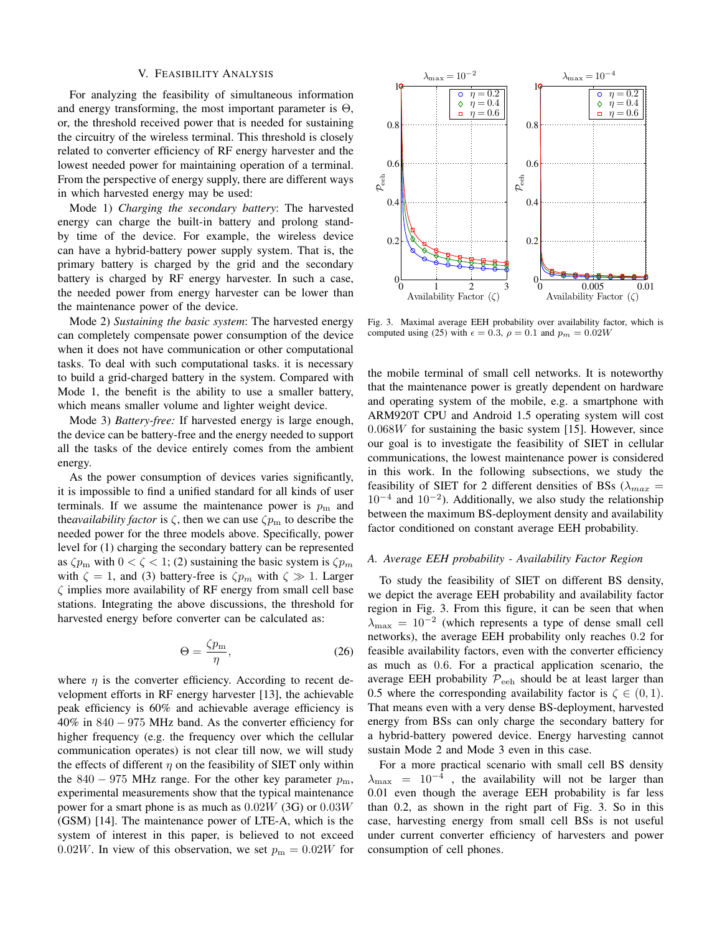#### V. FEASIBILITY ANALYSIS

For analyzing the feasibility of simultaneous information and energy transforming, the most important parameter is  $\Theta$ , or, the threshold received power that is needed for sustaining the circuitry of the wireless terminal. This threshold is closely related to converter efficiency of RF energy harvester and the lowest needed power for maintaining operation of a terminal. From the perspective of energy supply, there are different ways in which harvested energy may be used:

Mode 1) *Charging the secondary battery*: The harvested energy can charge the built-in battery and prolong standby time of the device. For example, the wireless device can have a hybrid-battery power supply system. That is, the primary battery is charged by the grid and the secondary battery is charged by RF energy harvester. In such a case, the needed power from energy harvester can be lower than the maintenance power of the device.

Mode 2) *Sustaining the basic system*: The harvested energy can completely compensate power consumption of the device when it does not have communication or other computational tasks. To deal with such computational tasks. it is necessary to build a grid-charged battery in the system. Compared with Mode 1, the benefit is the ability to use a smaller battery, which means smaller volume and lighter weight device.

Mode 3) *Battery-free:* If harvested energy is large enough, the device can be battery-free and the energy needed to support all the tasks of the device entirely comes from the ambient energy.

As the power consumption of devices varies significantly, it is impossible to find a unified standard for all kinds of user terminals. If we assume the maintenance power is  $p<sub>m</sub>$  and the*availability factor* is  $\zeta$ , then we can use  $\zeta p_{\rm m}$  to describe the needed power for the three models above. Specifically, power level for (1) charging the secondary battery can be represented as  $\zeta p_m$  with  $0 < \zeta < 1$ ; (2) sustaining the basic system is  $\zeta p_m$ with  $\zeta = 1$ , and (3) battery-free is  $\zeta p_m$  with  $\zeta \gg 1$ . Larger  $\zeta$  implies more availability of RF energy from small cell base stations. Integrating the above discussions, the threshold for harvested energy before converter can be calculated as:

$$
\Theta = \frac{\zeta p_{\rm m}}{\eta},\tag{26}
$$

where  $\eta$  is the converter efficiency. According to recent development efforts in RF energy harvester [13], the achievable peak efficiency is 60% and achievable average efficiency is 40% in 840 − 975 MHz band. As the converter efficiency for higher frequency (e.g. the frequency over which the cellular communication operates) is not clear till now, we will study the effects of different  $\eta$  on the feasibility of SIET only within the 840 – 975 MHz range. For the other key parameter  $p_m$ , experimental measurements show that the typical maintenance power for a smart phone is as much as  $0.02W$  (3G) or  $0.03W$ (GSM) [14]. The maintenance power of LTE-A, which is the system of interest in this paper, is believed to not exceed 0.02W. In view of this observation, we set  $p_m = 0.02W$  for



Fig. 3. Maximal average EEH probability over availability factor, which is computed using (25) with  $\epsilon = 0.3$ ,  $\rho = 0.1$  and  $p_m = 0.02W$ 

the mobile terminal of small cell networks. It is noteworthy that the maintenance power is greatly dependent on hardware and operating system of the mobile, e.g. a smartphone with ARM920T CPU and Android 1.5 operating system will cost  $0.068W$  for sustaining the basic system [15]. However, since our goal is to investigate the feasibility of SIET in cellular communications, the lowest maintenance power is considered in this work. In the following subsections, we study the feasibility of SIET for 2 different densities of BSs ( $\lambda_{max}$  =  $10^{-4}$  and  $10^{-2}$ ). Additionally, we also study the relationship between the maximum BS-deployment density and availability factor conditioned on constant average EEH probability.

#### *A. Average EEH probability - Availability Factor Region*

To study the feasibility of SIET on different BS density, we depict the average EEH probability and availability factor region in Fig. 3. From this figure, it can be seen that when  $\lambda_{\text{max}} = 10^{-2}$  (which represents a type of dense small cell networks), the average EEH probability only reaches 0.2 for feasible availability factors, even with the converter efficiency as much as 0.6. For a practical application scenario, the average EEH probability  $P_{\text{eeh}}$  should be at least larger than 0.5 where the corresponding availability factor is  $\zeta \in (0,1)$ . That means even with a very dense BS-deployment, harvested energy from BSs can only charge the secondary battery for a hybrid-battery powered device. Energy harvesting cannot sustain Mode 2 and Mode 3 even in this case.

For a more practical scenario with small cell BS density  $\lambda_{\text{max}}$  = 10<sup>-4</sup>, the availability will not be larger than 0.01 even though the average EEH probability is far less than 0.2, as shown in the right part of Fig. 3. So in this case, harvesting energy from small cell BSs is not useful under current converter efficiency of harvesters and power consumption of cell phones.